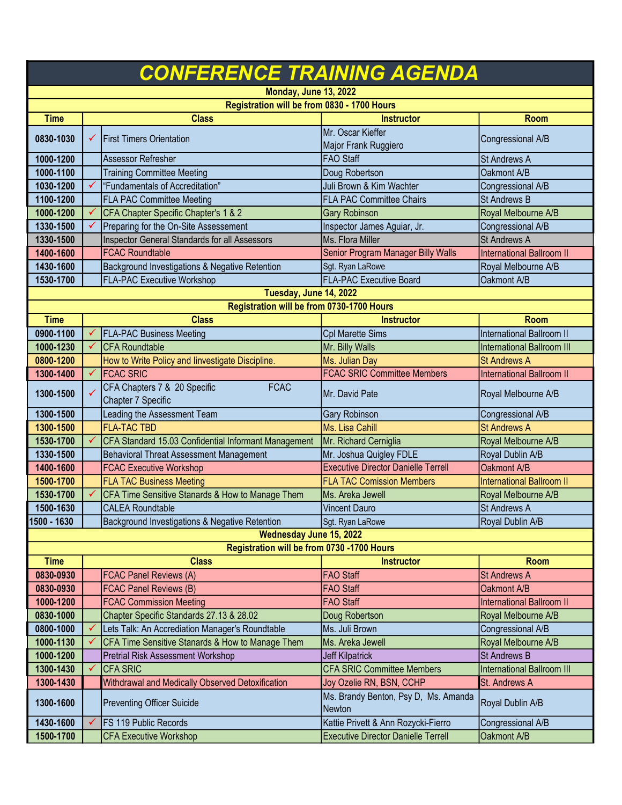| <b>CONFERENCE TRAINING AGENDA</b>           |   |                                                                 |                                                |                                                 |  |  |  |
|---------------------------------------------|---|-----------------------------------------------------------------|------------------------------------------------|-------------------------------------------------|--|--|--|
| <b>Monday, June 13, 2022</b>                |   |                                                                 |                                                |                                                 |  |  |  |
| Registration will be from 0830 - 1700 Hours |   |                                                                 |                                                |                                                 |  |  |  |
| <b>Time</b>                                 |   | <b>Class</b>                                                    | <b>Instructor</b>                              | <b>Room</b>                                     |  |  |  |
| 0830-1030                                   | ✓ | <b>First Timers Orientation</b>                                 | Mr. Oscar Kieffer<br>Major Frank Ruggiero      | Congressional A/B                               |  |  |  |
| 1000-1200                                   |   | Assessor Refresher                                              | <b>FAO</b> Staff                               | St Andrews A                                    |  |  |  |
| 1000-1100                                   |   | <b>Training Committee Meeting</b>                               | Doug Robertson                                 | Oakmont A/B                                     |  |  |  |
| 1030-1200                                   | ✓ | "Fundamentals of Accreditation"                                 | Juli Brown & Kim Wachter                       | Congressional A/B                               |  |  |  |
| 1100-1200                                   |   | <b>FLA PAC Committee Meeting</b>                                | <b>FLA PAC Committee Chairs</b>                | <b>St Andrews B</b>                             |  |  |  |
| 1000-1200                                   |   | CFA Chapter Specific Chapter's 1 & 2                            | <b>Gary Robinson</b>                           | Royal Melbourne A/B                             |  |  |  |
| 1330-1500                                   |   | Preparing for the On-Site Assessement                           | Inspector James Aguiar, Jr.                    | Congressional A/B                               |  |  |  |
| 1330-1500                                   |   | Inspector General Standards for all Assessors                   | Ms. Flora Miller                               | <b>St Andrews A</b>                             |  |  |  |
| 1400-1600                                   |   | <b>FCAC Roundtable</b>                                          | Senior Program Manager Billy Walls             | <b>International Ballroom II</b>                |  |  |  |
| 1430-1600                                   |   | Background Investigations & Negative Retention                  | Sgt. Ryan LaRowe                               | Royal Melbourne A/B                             |  |  |  |
| 1530-1700                                   |   | <b>FLA-PAC Executive Workshop</b>                               | <b>FLA-PAC Executive Board</b>                 | Oakmont A/B                                     |  |  |  |
|                                             |   | Tuesday, June 14, 2022                                          |                                                |                                                 |  |  |  |
|                                             |   | Registration will be from 0730-1700 Hours                       |                                                |                                                 |  |  |  |
| <b>Time</b>                                 |   | <b>Class</b>                                                    | <b>Instructor</b>                              | Room                                            |  |  |  |
| 0900-1100                                   |   | <b>FLA-PAC Business Meeting</b>                                 | Cpl Marette Sims                               | <b>International Ballroom II</b>                |  |  |  |
| 1000-1230                                   |   | <b>ICFA Roundtable</b>                                          | Mr. Billy Walls                                | <b>International Ballroom III</b>               |  |  |  |
| 0800-1200                                   |   | How to Write Policy and linvestigate Discipline.                | Ms. Julian Day                                 | <b>St Andrews A</b>                             |  |  |  |
| 1300-1400                                   |   | <b>FCAC SRIC</b>                                                | <b>FCAC SRIC Committee Members</b>             | <b>International Ballroom II</b>                |  |  |  |
|                                             |   | CFA Chapters 7 & 20 Specific<br><b>FCAC</b>                     |                                                |                                                 |  |  |  |
| 1300-1500                                   |   | Chapter 7 Specific                                              | Mr. David Pate                                 | Royal Melbourne A/B                             |  |  |  |
| 1300-1500                                   |   | Leading the Assessment Team                                     | Gary Robinson                                  | Congressional A/B                               |  |  |  |
| 1300-1500                                   |   | <b>FLA-TAC TBD</b>                                              | Ms. Lisa Cahill                                | <b>St Andrews A</b>                             |  |  |  |
| 1530-1700                                   |   | CFA Standard 15.03 Confidential Informant Management            | Mr. Richard Cerniglia                          | Royal Melbourne A/B                             |  |  |  |
| 1330-1500                                   |   | Behavioral Threat Assessment Management                         | Mr. Joshua Quigley FDLE                        | Royal Dublin A/B                                |  |  |  |
| 1400-1600                                   |   | <b>FCAC Executive Workshop</b>                                  | <b>Executive Director Danielle Terrell</b>     | Oakmont A/B                                     |  |  |  |
| 1500-1700                                   |   | <b>FLA TAC Business Meeting</b>                                 | <b>FLA TAC Comission Members</b>               | <b>International Ballroom II</b>                |  |  |  |
| 1530-1700                                   |   | CFA Time Sensitive Stanards & How to Manage Them                | Ms. Areka Jewell                               | Royal Melbourne A/B                             |  |  |  |
| 1500-1630                                   |   | <b>CALEA Roundtable</b>                                         | <b>Vincent Dauro</b>                           | <b>St Andrews A</b>                             |  |  |  |
| 1500 - 1630                                 |   | Background Investigations & Negative Retention                  | Sgt. Ryan LaRowe                               | Royal Dublin A/B                                |  |  |  |
| <b>Wednesday June 15, 2022</b>              |   |                                                                 |                                                |                                                 |  |  |  |
|                                             |   | Registration will be from 0730 -1700 Hours                      |                                                |                                                 |  |  |  |
| <b>Time</b>                                 |   | <b>Class</b>                                                    | <b>Instructor</b>                              | <b>Room</b>                                     |  |  |  |
| 0830-0930                                   |   | <b>FCAC Panel Reviews (A)</b>                                   | <b>FAO Staff</b><br><b>FAO Staff</b>           | <b>St Andrews A</b>                             |  |  |  |
| 0830-0930<br>1000-1200                      |   | <b>FCAC Panel Reviews (B)</b><br><b>FCAC Commission Meeting</b> | <b>FAO Staff</b>                               | Oakmont A/B<br><b>International Ballroom II</b> |  |  |  |
|                                             |   | Chapter Specific Standards 27.13 & 28.02                        |                                                |                                                 |  |  |  |
| 0830-1000                                   |   |                                                                 | Doug Robertson                                 | Royal Melbourne A/B                             |  |  |  |
| 0800-1000                                   |   | Lets Talk: An Accrediation Manager's Roundtable                 | Ms. Juli Brown                                 | Congressional A/B                               |  |  |  |
| 1000-1130                                   |   | CFA Time Sensitive Stanards & How to Manage Them                | Ms. Areka Jewell                               | Royal Melbourne A/B                             |  |  |  |
| 1000-1200                                   |   | Pretrial Risk Assessment Workshop                               | <b>Jeff Kilpatrick</b>                         | <b>St Andrews B</b>                             |  |  |  |
| 1300-1430                                   |   | <b>CFA SRIC</b>                                                 | <b>CFA SRIC Committee Members</b>              | <b>International Ballroom III</b>               |  |  |  |
| 1300-1430                                   |   | Withdrawal and Medically Observed Detoxification                | Joy Ozelie RN, BSN, CCHP                       | St. Andrews A                                   |  |  |  |
| 1300-1600                                   |   | <b>Preventing Officer Suicide</b>                               | Ms. Brandy Benton, Psy D, Ms. Amanda<br>Newton | Royal Dublin A/B                                |  |  |  |
| 1430-1600                                   |   | <b>FS 119 Public Records</b>                                    | Kattie Privett & Ann Rozycki-Fierro            | Congressional A/B                               |  |  |  |
| 1500-1700                                   |   | <b>CFA Executive Workshop</b>                                   | <b>Executive Director Danielle Terrell</b>     | Oakmont A/B                                     |  |  |  |